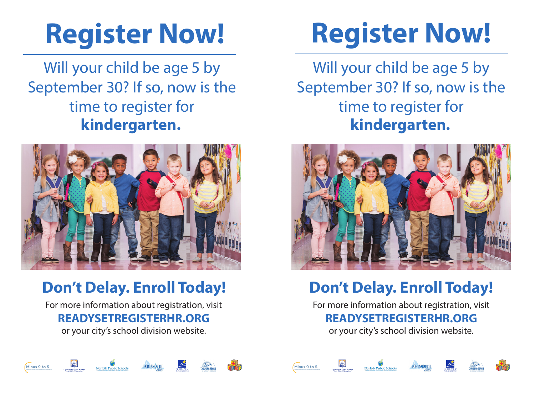# **Register Now!**

Will your child be age 5 by September 30? If so, now is the time to register for **kindergarten.**



## **Don't Delay. Enroll Today!**

For more information about registration, visit **READYSETREGISTERHR.ORG**

or your city's school division website.



Will your child be age 5 by September 30? If so, now is the time to register for **kindergarten.**



## **Don't Delay. Enroll Today!**

For more information about registration, visit **READYSETREGISTERHR.ORG**

or your city's school division website.